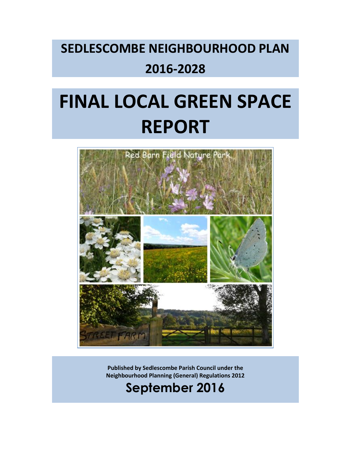# **SEDLESCOMBE NEIGHBOURHOOD PLAN 2016-2028**

# **FINAL LOCAL GREEN SPACE REPORT**



**Published by Sedlescombe Parish Council under the Neighbourhood Planning (General) Regulations 2012**

**September 2016**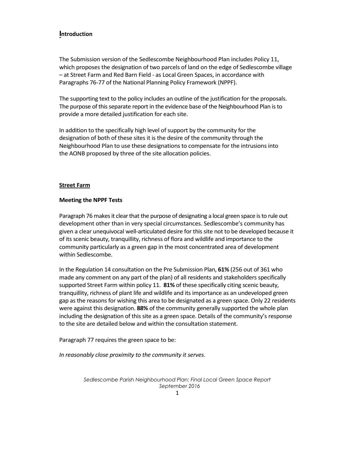# **Introduction**

The Submission version of the Sedlescombe Neighbourhood Plan includes Policy 11, which proposes the designation of two parcels of land on the edge of Sedlescombe village – at Street Farm and Red Barn Field ‐ as Local Green Spaces, in accordance with Paragraphs 76‐77 of the National Planning Policy Framework (NPPF).

The supporting text to the policy includes an outline of the justification for the proposals. The purpose of this separate report in the evidence base of the Neighbourhood Plan is to provide a more detailed justification for each site.

In addition to the specifically high level of support by the community for the designation of both of these sites it is the desire of the community through the Neighbourhood Plan to use these designations to compensate for the intrusions into the AONB proposed by three of the site allocation policies.

# **Street Farm**

# **Meeting the NPPF Tests**

Paragraph 76 makes it clear that the purpose of designating a local green space is to rule out development other than in very special circumstances. Sedlescombe's community has given a clear unequivocal well-articulated desire for this site not to be developed because it of its scenic beauty, tranquillity, richness of flora and wildlife and importance to the community particularly as a green gap in the most concentrated area of development within Sedlescombe.

In the Regulation 14 consultation on the Pre Submission Plan, **61%** (256 out of 361 who made any comment on any part of the plan) of all residents and stakeholders specifically supported Street Farm within policy 11. **81%** of these specifically citing scenic beauty, tranquillity, richness of plant life and wildlife and its importance as an undeveloped green gap as the reasons for wishing this area to be designated as a green space. Only 22 residents were against this designation. **88%** of the community generally supported the whole plan including the designation of this site as a green space. Details of the community's response to the site are detailed below and within the consultation statement.

Paragraph 77 requires the green space to be:

*In reasonably close proximity to the community it serves*.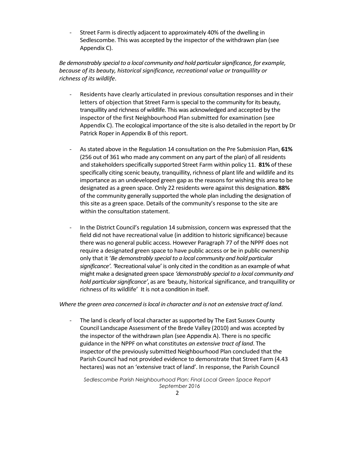Street Farm is directly adjacent to approximately 40% of the dwelling in Sedlescombe. This was accepted by the inspector of the withdrawn plan (see Appendix C).

*Be demonstrably special to a local community and hold particular significance, for example, because of its beauty, historical significance, recreational value or tranquillity or richness of its wildlife*.

- Residents have clearly articulated in previous consultation responses and in their letters of objection that Street Farm is special to the community for its beauty, tranquillity and richness of wildlife. This was acknowledged and accepted by the inspector of the first Neighbourhood Plan submitted for examination (see Appendix C). The ecological importance of the site is also detailed in the report by Dr Patrick Roper in Appendix B of this report.
- As stated above in the Regulation 14 consultation on the Pre Submission Plan, **61%** (256 out of 361 who made any comment on any part of the plan) of all residents and stakeholders specifically supported Street Farm within policy 11. **81%** of these specifically citing scenic beauty, tranquillity, richness of plant life and wildlife and its importance as an undeveloped green gap as the reasons for wishing this area to be designated as a green space. Only 22 residents were against this designation. **88%** of the community generally supported the whole plan including the designation of this site as a green space. Details of the community's response to the site are within the consultation statement.
- In the District Council's regulation 14 submission, concern was expressed that the field did not have recreational value (in addition to historic significance) because there was no general public access. However Paragraph 77 of the NPPF does not require a designated green space to have public access or be in public ownership only that it '*Be demonstrably special to a local community and hold particular significance'. '*Recreational value' is only cited in the condition as an example of what might make a designated green space *'demonstrably special to a local community and hold particular significance'*, as are *'*beauty, historical significance, and tranquillity or richness of its wildlife' It is not a condition in itself.

*Where the green area concerned is local in character and is not an extensive tract of land.*

The land is clearly of local character as supported by The East Sussex County Council Landscape Assessment of the Brede Valley (2010) and was accepted by the inspector of the withdrawn plan (see Appendix A). There is no specific guidance in the NPPF on what constitutes *an extensive tract of land*. The inspector of the previously submitted Neighbourhood Plan concluded that the Parish Council had not provided evidence to demonstrate that Street Farm (4.43 hectares) was not an 'extensive tract of land'. In response, the Parish Council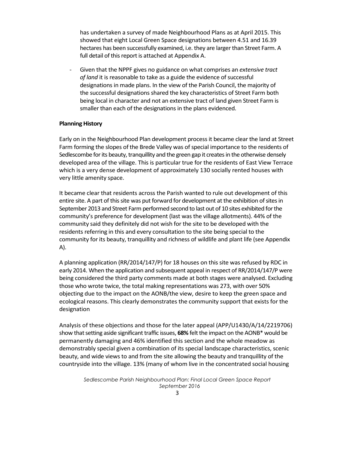has undertaken a survey of made Neighbourhood Plans as at April 2015. This showed that eight Local Green Space designations between 4.51 and 16.39 hectares has been successfully examined, i.e. they are larger than Street Farm. A full detail of this report is attached at Appendix A.

- Given that the NPPF gives no guidance on what comprises an *extensive tract of land* it is reasonable to take as a guide the evidence of successful designations in made plans. In the view of the Parish Council, the majority of the successful designations shared the key characteristics of Street Farm both being local in character and not an extensive tract of land given Street Farm is smaller than each of the designations in the plans evidenced.

#### **Planning History**

Early on in the Neighbourhood Plan development process it became clear the land at Street Farm forming the slopes of the Brede Valley was of special importance to the residents of Sedlescombe for its beauty, tranquillity and the green gap it creates in the otherwise densely developed area of the village. This is particular true for the residents of East View Terrace which is a very dense development of approximately 130 socially rented houses with very little amenity space.

It became clear that residents across the Parish wanted to rule out development of this entire site. A part of this site was put forward for development at the exhibition of sites in September 2013 and Street Farm performed second to last out of 10 sites exhibited for the community's preference for development (last was the village allotments). 44% of the community said they definitely did not wish for the site to be developed with the residents referring in this and every consultation to the site being special to the community for its beauty, tranquillity and richness of wildlife and plant life (see Appendix A).

A planning application (RR/2014/147/P) for 18 houses on this site was refused by RDC in early 2014. When the application and subsequent appeal in respect of RR/2014/147/P were being considered the third party comments made at both stages were analysed. Excluding those who wrote twice, the total making representations was 273, with over 50% objecting due to the impact on the AONB/the view, desire to keep the green space and ecological reasons. This clearly demonstrates the community support that exists for the designation.

Analysis of these objections and those for the later appeal (APP/U1430/A/14/2219706) show that setting aside significant traffic issues, **68%** felt the impact on the AONB\* would be permanently damaging and 46% identified this section and the whole meadow as demonstrably special given a combination of its special landscape characteristics, scenic beauty, and wide views to and from the site allowing the beauty and tranquillity of the countryside into the village. 13% (many of whom live in the concentrated social housing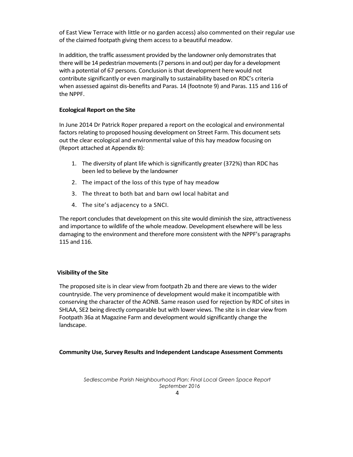of East View Terrace with little or no garden access) also commented on their regular use of the claimed footpath giving them access to a beautiful meadow.

In addition, the traffic assessment provided by the landowner only demonstrates that there will be 14 pedestrian movements (7 persons in and out) per day for a development with a potential of 67 persons. Conclusion is that development here would not contribute significantly or even marginally to sustainability based on RDC's criteria when assessed against dis‐benefits and Paras. 14 (footnote 9) and Paras. 115 and 116 of the NPPF.

# **Ecological Report on the Site**

In June 2014 Dr Patrick Roper prepared a report on the ecological and environmental factors relating to proposed housing development on Street Farm. This document sets out the clear ecological and environmental value of this hay meadow focusing on (Report attached at Appendix B):

- 1. The diversity of plant life which is significantly greater (372%) than RDC has been led to believe by the landowner
- 2. The impact of the loss of this type of hay meadow
- 3. The threat to both bat and barn owl local habitat and
- 4. The site's adjacency to a SNCI.

The report concludes that development on this site would diminish the size, attractiveness and importance to wildlife of the whole meadow. Development elsewhere will be less damaging to the environment and therefore more consistent with the NPPF's paragraphs 115 and 116.

#### **Visibility of the Site**

The proposed site is in clear view from footpath 2b and there are views to the wider countryside. The very prominence of development would make it incompatible with conserving the character of the AONB. Same reason used for rejection by RDC of sites in SHLAA, SE2 being directly comparable but with lower views. The site is in clear view from Footpath 36a at Magazine Farm and development would significantly change the landscape.

#### **Community Use, Survey Results and Independent Landscape Assessment Comments**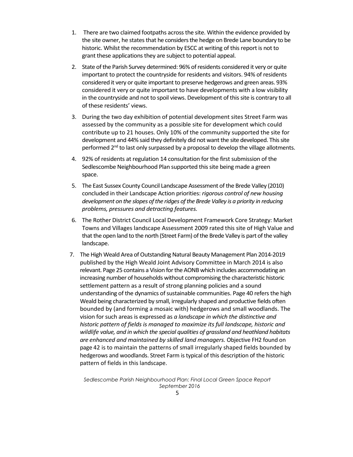- 1. There are two claimed footpaths across the site. Within the evidence provided by the site owner, he states that he considers the hedge on Brede Lane boundary to be historic. Whilst the recommendation by ESCC at writing of this report is not to grant these applications they are subject to potential appeal.
- 2. State of the Parish Survey determined: 96% of residents considered it very or quite important to protect the countryside for residents and visitors. 94% of residents considered it very or quite important to preserve hedgerows and green areas. 93% considered it very or quite important to have developments with a low visibility in the countryside and not to spoil views. Development of this site is contrary to all of these residents' views.
- 3. During the two day exhibition of potential development sites Street Farm was assessed by the community as a possible site for development which could contribute up to 21 houses. Only 10% of the community supported the site for development and 44% said they definitely did not want the site developed. This site performed  $2<sup>nd</sup>$  to last only surpassed by a proposal to develop the village allotments.
- 4. 92% of residents at regulation 14 consultation for the first submission of the Sedlescombe Neighbourhood Plan supported this site being made a green space.
- 5. The East Sussex County Council Landscape Assessment of the Brede Valley (2010) concluded in their Landscape Action priorities: *rigorous control of new housing development on the slopes of the ridges of the Brede Valley is a priority in reducing problems, pressures and detracting features.*
- 6. The Rother District Council Local Development Framework Core Strategy: Market Towns and Villages landscape Assessment 2009 rated this site of High Value and that the open land to the north (Street Farm) of the Brede Valley is part of the valley landscape.
- 7. The High Weald Area of Outstanding Natural Beauty Management Plan 2014‐2019 published by the High Weald Joint Advisory Committee in March 2014 is also relevant. Page 25 contains a Vision for the AONB which includes accommodating an increasing number of households without compromising the characteristic historic settlement pattern as a result of strong planning policies and a sound understanding of the dynamics of sustainable communities. Page 40 refers the high Weald being characterized by small, irregularly shaped and productive fields often bounded by (and forming a mosaic with) hedgerows and small woodlands. The vision for such areas is expressed as *a landscape in which the distinctive and historic pattern of fields is managed to maximize its full landscape, historic and wildlife value, and in which the special qualities of grassland and heathland habitats are enhanced and maintained by skilled land managers.* Objective FH2 found on page 42 is to maintain the patterns of small irregularly shaped fields bounded by hedgerows and woodlands. Street Farm is typical of this description of the historic pattern of fields in this landscape.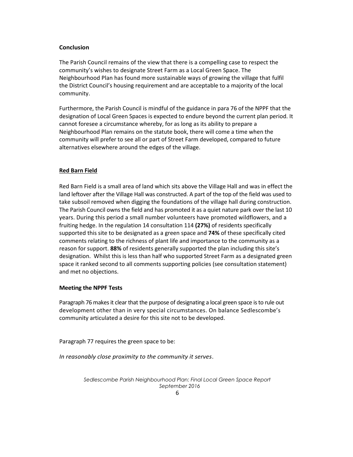#### **Conclusion**

The Parish Council remains of the view that there is a compelling case to respect the community's wishes to designate Street Farm as a Local Green Space. The Neighbourhood Plan has found more sustainable ways of growing the village that fulfil the District Council's housing requirement and are acceptable to a majority of the local community.

Furthermore, the Parish Council is mindful of the guidance in para 76 of the NPPF that the designation of Local Green Spaces is expected to endure beyond the current plan period. It cannot foresee a circumstance whereby, for as long as its ability to prepare a Neighbourhood Plan remains on the statute book, there will come a time when the community will prefer to see all or part of Street Farm developed, compared to future alternatives elsewhere around the edges of the village.

#### **Red Barn Field**

Red Barn Field is a small area of land which sits above the Village Hall and was in effect the land leftover after the Village Hall was constructed. A part of the top of the field was used to take subsoil removed when digging the foundations of the village hall during construction. The Parish Council owns the field and has promoted it as a quiet nature park over the last 10 years. During this period a small number volunteers have promoted wildflowers, and a fruiting hedge. In the regulation 14 consultation 114 **(27%)** of residents specifically supported this site to be designated as a green space and **74%** of these specifically cited comments relating to the richness of plant life and importance to the community as a reason for support. **88%** of residents generally supported the plan including this site's designation. Whilst this is less than half who supported Street Farm as a designated green space it ranked second to all comments supporting policies (see consultation statement) and met no objections.

#### **Meeting the NPPF Tests**

Paragraph 76 makes it clear that the purpose of designating a local green space is to rule out development other than in very special circumstances. On balance Sedlescombe's community articulated a desire for this site not to be developed.

Paragraph 77 requires the green space to be:

*In reasonably close proximity to the community it serves*.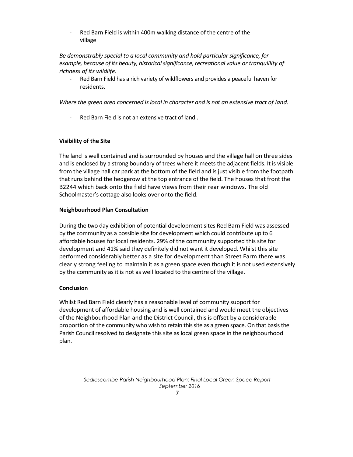Red Barn Field is within 400m walking distance of the centre of the village

*Be demonstrably special to a local community and hold particular significance, for example, because of its beauty, historical significance, recreational value or tranquillity of richness of its wildlife*.

Red Barn Field has a rich variety of wildflowers and provides a peaceful haven for residents.

*Where the green area concerned is local in character and is not an extensive tract of land.*

Red Barn Field is not an extensive tract of land.

# **Visibility of the Site**

The land is well contained and is surrounded by houses and the village hall on three sides and is enclosed by a strong boundary of trees where it meets the adjacent fields. It is visible from the village hall car park at the bottom of the field and is just visible from the footpath that runs behind the hedgerow at the top entrance of the field. The houses that front the B2244 which back onto the field have views from their rear windows. The old Schoolmaster's cottage also looks over onto the field.

# **Neighbourhood Plan Consultation**

During the two day exhibition of potential development sites Red Barn Field was assessed by the community as a possible site for development which could contribute up to 6 affordable houses for local residents. 29% of the community supported this site for development and 41% said they definitely did not want it developed. Whilst this site performed considerably better as a site for development than Street Farm there was clearly strong feeling to maintain it as a green space even though it is not used extensively by the community as it is not as well located to the centre of the village.

#### **Conclusion**

Whilst Red Barn Field clearly has a reasonable level of community support for development of affordable housing and is well contained and would meet the objectives of the Neighbourhood Plan and the District Council, this is offset by a considerable proportion of the community who wish to retain this site as a green space. On that basis the Parish Council resolved to designate this site as local green space in the neighbourhood plan.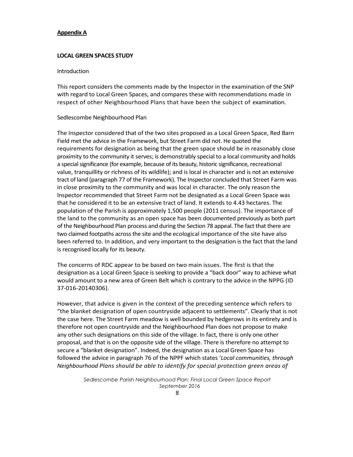#### **Appendix A**

#### **LOCAL GREEN SPACES STUDY**

#### Introduction

This report considers the comments made by the Inspector in the examination of the SNP with regard to Local Green Spaces, and compares these with recommendations made in respect of other Neighbourhood Plans that have been the subject of examination.

#### Sedlescombe Neighbourhood Plan

The Inspector considered that of the two sites proposed as a Local Green Space, Red Barn Field met the advice in the Framework, but Street Farm did not. He quoted the requirements for designation as being that the green space should be in reasonably close proximity to the community it serves; is demonstrably special to a local community and holds a special significance (for example, because of its beauty, historic significance, recreational value, tranquillity or richness of its wildlife); and is local in character and is not an extensive tract of land (paragraph 77 of the Framework). The Inspector concluded that Street Farm was in close proximity to the community and was local in character. The only reason the Inspector recommended that Street Farm not be designated as a Local Green Space was that he considered it to be an extensive tract of land. It extends to 4.43 hectares. The population of the Parish is approximately 1,500 people (2011 census). The importance of the land to the community as an open space has been documented previously as both part of the Neighbourhood Plan process and during the Section 78 appeal. The fact that there are two claimed footpaths across the site and the ecological importance of the site have also been referred to. In addition, and very important to the designation is the fact that the land is recognised locally for its beauty.

The concerns of RDC appear to be based on two main issues. The first is that the designation as a Local Green Space is seeking to provide a "back door" way to achieve what would amount to a new area of Green Belt which is contrary to the advice in the NPPG (ID 37‐016‐20140306).

However, that advice is given in the context of the preceding sentence which refers to "the blanket designation of open countryside adjacent to settlements". Clearly that is not the case here. The Street Farm meadow is well bounded by hedgerows in its entirety and is therefore not open countryside and the Neighbourhood Plan does not propose to make any other such designations on this side of the village. In fact, there is only one other proposal, and that is on the opposite side of the village. There is therefore no attempt to secure a "blanket designation". Indeed, the designation as a Local Green Space has followed the advice in paragraph 76 of the NPPF which states '*Local communities, through Neighbourhood Plans should be able to identify for special protection green areas of*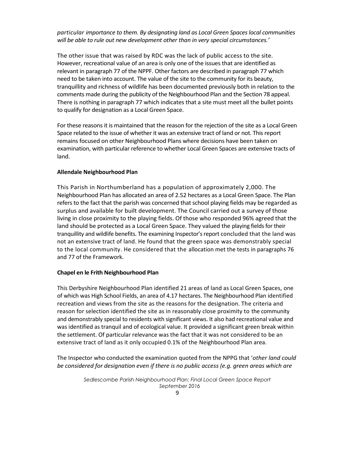*particular importance to them. By designating land as Local Green Spaces local communities will be able to rule out new development other than in very special circumstances.'*

The other issue that was raised by RDC was the lack of public access to the site. However, recreational value of an area is only one of the issues that are identified as relevant in paragraph 77 of the NPPF. Other factors are described in paragraph 77 which need to be taken into account. The value of the site to the community for its beauty, tranquillity and richness of wildlife has been documented previously both in relation to the comments made during the publicity of the Neighbourhood Plan and the Section 78 appeal. There is nothing in paragraph 77 which indicates that a site must meet all the bullet points to qualify for designation as a Local Green Space.

For these reasons it is maintained that the reason for the rejection of the site as a Local Green Space related to the issue of whether it was an extensive tract of land or not. This report remains focused on other Neighbourhood Plans where decisions have been taken on examination, with particular reference to whether Local Green Spaces are extensive tracts of land.

#### **Allendale Neighbourhood Plan**

This Parish in Northumberland has a population of approximately 2,000. The Neighbourhood Plan has allocated an area of 2.52 hectares as a Local Green Space. The Plan refers to the fact that the parish was concerned that school playing fields may be regarded as surplus and available for built development. The Council carried out a survey of those living in close proximity to the playing fields. Of those who responded 96% agreed that the land should be protected as a Local Green Space. They valued the playing fields for their tranquillity and wildlife benefits. The examining Inspector's report concluded that the land was not an extensive tract of land. He found that the green space was demonstrably special to the local community. He considered that the allocation met the tests in paragraphs 76 and 77 of the Framework.

#### **Chapel en le Frith Neighbourhood Plan**

This Derbyshire Neighbourhood Plan identified 21 areas of land as Local Green Spaces, one of which was High School Fields, an area of 4.17 hectares. The Neighbourhood Plan identified recreation and views from the site as the reasons for the designation. The criteria and reason for selection identified the site as in reasonably close proximity to the community and demonstrably special to residents with significant views. It also had recreational value and was identified as tranquil and of ecological value. It provided a significant green break within the settlement. Of particular relevance was the fact that it was not considered to be an extensive tract of land as it only occupied 0.1% of the Neighbourhood Plan area.

The Inspector who conducted the examination quoted from the NPPG that '*other land could be considered for designation even if there is no public access (e.g. green areas which are*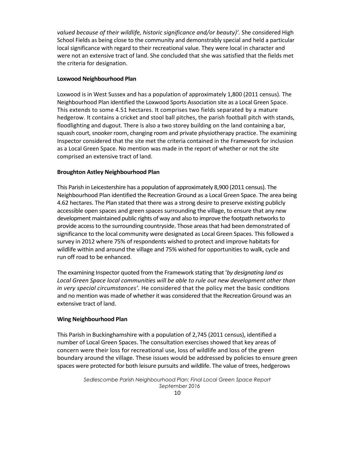*valued because of their wildlife, historic significance and/or beauty)'.* She considered High School Fields as being close to the community and demonstrably special and held a particular local significance with regard to their recreational value. They were local in character and were not an extensive tract of land. She concluded that she was satisfied that the fields met the criteria for designation.

#### **Loxwood Neighbourhood Plan**

Loxwood is in West Sussex and has a population of approximately 1,800 (2011 census). The Neighbourhood Plan identified the Loxwood Sports Association site as a Local Green Space. This extends to some 4.51 hectares. It comprises two fields separated by a mature hedgerow. It contains a cricket and stool ball pitches, the parish football pitch with stands, floodlighting and dugout. There is also a two storey building on the land containing a bar, squash court, snooker room, changing room and private physiotherapy practice. The examining Inspector considered that the site met the criteria contained in the Framework for inclusion as a Local Green Space. No mention was made in the report of whether or not the site comprised an extensive tract of land.

#### **Broughton Astley Neighbourhood Plan**

This Parish in Leicestershire has a population of approximately 8,900 (2011 census). The Neighbourhood Plan identified the Recreation Ground as a Local Green Space. The area being 4.62 hectares. The Plan stated that there was a strong desire to preserve existing publicly accessible open spaces and green spaces surrounding the village, to ensure that any new development maintained public rights of way and also to improve the footpath networks to provide access to the surrounding countryside. Those areas that had been demonstrated of significance to the local community were designated as Local Green Spaces. This followed a survey in 2012 where 75% of respondents wished to protect and improve habitats for wildlife within and around the village and 75% wished for opportunities to walk, cycle and run off road to be enhanced.

The examining Inspector quoted from the Framework stating that '*by designating land as Local Green Space local communities will be able to rule out new development other than in very special circumstances'.* He considered that the policy met the basic conditions and no mention was made of whether it was considered that the Recreation Ground was an extensive tract of land.

#### **Wing Neighbourhood Plan**

This Parish in Buckinghamshire with a population of 2,745 (2011 census), identified a number of Local Green Spaces. The consultation exercises showed that key areas of concern were their loss for recreational use, loss of wildlife and loss of the green boundary around the village. These issues would be addressed by policies to ensure green spaces were protected for both leisure pursuits and wildlife. The value of trees, hedgerows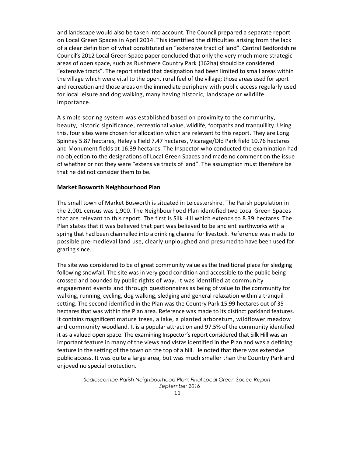and landscape would also be taken into account. The Council prepared a separate report on Local Green Spaces in April 2014. This identified the difficulties arising from the lack of a clear definition of what constituted an "extensive tract of land". Central Bedfordshire Council's 2012 Local Green Space paper concluded that only the very much more strategic areas of open space, such as Rushmere Country Park (162ha) should be considered "extensive tracts". The report stated that designation had been limited to small areas within the village which were vital to the open, rural feel of the village; those areas used for sport and recreation and those areas on the immediate periphery with public access regularly used for local leisure and dog walking, many having historic, landscape or wildlife importance.

A simple scoring system was established based on proximity to the community, beauty, historic significance, recreational value, wildlife, footpaths and tranquillity. Using this, four sites were chosen for allocation which are relevant to this report. They are Long Spinney 5.87 hectares, Heley's Field 7.47 hectares, Vicarage/Old Park field 10.76 hectares and Monument fields at 16.39 hectares. The Inspector who conducted the examination had no objection to the designations of Local Green Spaces and made no comment on the issue of whether or not they were "extensive tracts of land". The assumption must therefore be that he did not consider them to be.

#### **Market Bosworth Neighbourhood Plan**

The small town of Market Bosworth is situated in Leicestershire. The Parish population in the 2,001 census was 1,900. The Neighbourhood Plan identified two Local Green Spaces that are relevant to this report. The first is Silk Hill which extends to 8.39 hectares. The Plan states that it was believed that part was believed to be ancient earthworks with a spring that had been channelled into a drinking channel for livestock. Reference was made to possible pre‐medieval land use, clearly unploughed and presumed to have been used for grazing since.

The site was considered to be of great community value as the traditional place for sledging following snowfall. The site was in very good condition and accessible to the public being crossed and bounded by public rights of way. It was identified at community engagement events and through questionnaires as being of value to the community for walking, running, cycling, dog walking, sledging and general relaxation within a tranquil setting. The second identified in the Plan was the Country Park 15.99 hectares out of 35 hectares that was within the Plan area. Reference was made to its distinct parkland features. It contains magnificent mature trees, a lake, a planted arboretum, wildflower meadow and community woodland. It is a popular attraction and 97.5% of the community identified it as a valued open space. The examining Inspector's report considered that Silk Hill was an important feature in many of the views and vistas identified in the Plan and was a defining feature in the setting of the town on the top of a hill. He noted that there was extensive public access. It was quite a large area, but was much smaller than the Country Park and enjoyed no special protection.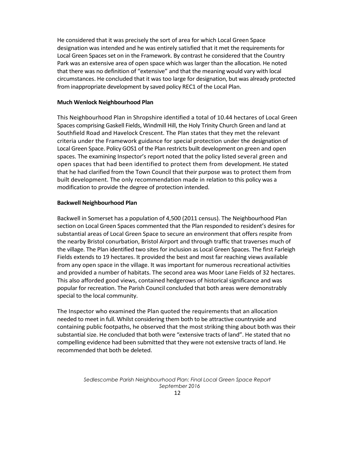He considered that it was precisely the sort of area for which Local Green Space designation was intended and he was entirely satisfied that it met the requirements for Local Green Spaces set on in the Framework. By contrast he considered that the Country Park was an extensive area of open space which was larger than the allocation. He noted that there was no definition of "extensive" and that the meaning would vary with local circumstances. He concluded that it was too large for designation, but was already protected from inappropriate development by saved policy REC1 of the Local Plan.

#### **Much Wenlock Neighbourhood Plan**

This Neighbourhood Plan in Shropshire identified a total of 10.44 hectares of Local Green Spaces comprising Gaskell Fields, Windmill Hill, the Holy Trinity Church Green and land at Southfield Road and Havelock Crescent. The Plan states that they met the relevant criteria under the Framework guidance for special protection under the designation of Local Green Space. Policy GOS1 of the Plan restricts built development on green and open spaces. The examining Inspector's report noted that the policy listed several green and open spaces that had been identified to protect them from development. He stated that he had clarified from the Town Council that their purpose was to protect them from built development. The only recommendation made in relation to this policy was a modification to provide the degree of protection intended.

#### **Backwell Neighbourhood Plan**

Backwell in Somerset has a population of 4,500 (2011 census). The Neighbourhood Plan section on Local Green Spaces commented that the Plan responded to resident's desires for substantial areas of Local Green Space to secure an environment that offers respite from the nearby Bristol conurbation, Bristol Airport and through traffic that traverses much of the village. The Plan identified two sites for inclusion as Local Green Spaces. The first Farleigh Fields extends to 19 hectares. It provided the best and most far reaching views available from any open space in the village. It was important for numerous recreational activities and provided a number of habitats. The second area was Moor Lane Fields of 32 hectares. This also afforded good views, contained hedgerows of historical significance and was popular for recreation. The Parish Council concluded that both areas were demonstrably special to the local community.

The Inspector who examined the Plan quoted the requirements that an allocation needed to meet in full. Whilst considering them both to be attractive countryside and containing public footpaths, he observed that the most striking thing about both was their substantial size. He concluded that both were "extensive tracts of land". He stated that no compelling evidence had been submitted that they were not extensive tracts of land. He recommended that both be deleted.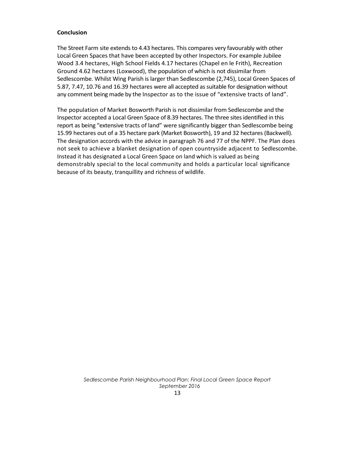#### **Conclusion**

The Street Farm site extends to 4.43 hectares. This compares very favourably with other Local Green Spaces that have been accepted by other Inspectors. For example Jubilee Wood 3.4 hectares, High School Fields 4.17 hectares (Chapel en le Frith), Recreation Ground 4.62 hectares (Loxwood), the population of which is not dissimilar from Sedlescombe. Whilst Wing Parish is larger than Sedlescombe (2,745), Local Green Spaces of 5.87, 7.47, 10.76 and 16.39 hectares were all accepted as suitable for designation without any comment being made by the Inspector as to the issue of "extensive tracts of land".

The population of Market Bosworth Parish is not dissimilar from Sedlescombe and the Inspector accepted a Local Green Space of 8.39 hectares. The three sites identified in this report as being "extensive tracts of land" were significantly bigger than Sedlescombe being 15.99 hectares out of a 35 hectare park (Market Bosworth), 19 and 32 hectares (Backwell). The designation accords with the advice in paragraph 76 and 77 of the NPPF. The Plan does not seek to achieve a blanket designation of open countryside adjacent to Sedlescombe. Instead it has designated a Local Green Space on land which is valued as being demonstrably special to the local community and holds a particular local significance because of its beauty, tranquillity and richness of wildlife.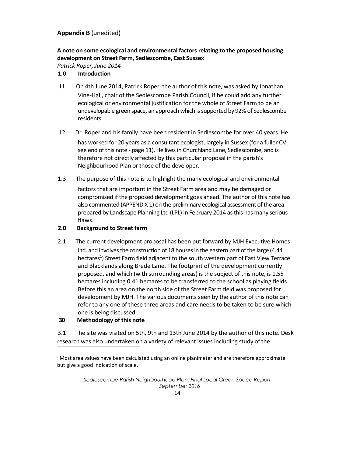# **Appendix B** (unedited)

# **A note on some ecological and environmental factors relating to the proposed housing development on Street Farm, Sedlescombe, East Sussex**

*Patrick Roper, June 2014*

# **1.0 Introduction**

- 1.1 On 4th June 2014, Patrick Roper, the author of this note, was asked by Jonathan Vine‐Hall, chair of the Sedlescombe Parish Council, if he could add any further ecological or environmental justification for the whole of Street Farm to be an undevelopable green space, an approach which is supported by 92% of Sedlescombe residents.
- 1.2 Dr. Roper and his family have been resident in Sedlescombe for over 40 years. He

has worked for 20 years as a consultant ecologist, largely in Sussex (for a fuller CV see end of this note ‐ page 11). He lives in Churchland Lane, Sedlescombe, and is therefore not directly affected by this particular proposal in the parish's Neighbourhood Plan or those of the developer.

1.3 The purpose of this note is to highlight the many ecological and environmental

factors that are important in the Street Farm area and may be damaged or compromised if the proposed development goes ahead. The author of this note has also commented (APPENDIX 1) on the preliminary ecological assessment of the area prepared by Landscape Planning Ltd (LPL) in February 2014 as this has many serious flaws.

# **2.0 Background to Street farm**

2.1 The current development proposal has been put forward by MJH Executive Homes Ltd. and involves the construction of 18 houses in the eastern part of the large (4.44 hectares<sup>1</sup>) Street Farm field adjacent to the south western part of East View Terrace and Blacklands along Brede Lane. The footprint of the development currently proposed, and which (with surrounding areas) is the subject of this note, is 1.55 hectares including 0.41 hectares to be transferred to the school as playing fields. Before this an area on the north side of the Street Farm field was proposed for development by MJH. The various documents seen by the author of this note can refer to any one of these three areas and care needs to be taken to be sure which one is being discussed.

# **3.0 Methodology of this note**

3.1 The site was visited on 5th, 9th and 13th June 2014 by the author of this note. Desk research was also undertaken on a variety of relevant issues including study of the

<sup>1</sup> Most area values have been calculated using an online planimeter and are therefore approximate but give a good indication of scale.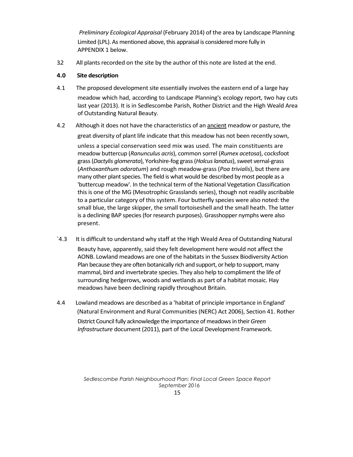*Preliminary Ecological Appraisal* (February 2014) of the area by Landscape Planning Limited (LPL). As mentioned above, this appraisal is considered more fully in APPENDIX 1 below.

3.2 All plants recorded on the site by the author of this note are listed at the end.

# **4.0 Site description**

- 4.1 The proposed development site essentially involves the eastern end of a large hay meadow which had, according to Landscape Planning's ecology report, two hay cuts last year (2013). It is in Sedlescombe Parish, Rother District and the High Weald Area of Outstanding Natural Beauty.
- 4.2 Although it does not have the characteristics of an ancient meadow or pasture, the

great diversity of plant life indicate that this meadow has not been recently sown,

unless a special conservation seed mix was used. The main constituents are meadow buttercup (*Ranunculus acris*), common sorrel (*Rumex acetosa*), cocksfoot grass (*Dactylis glomerata*), Yorkshire‐fog grass (*Holcus lanatus*), sweet vernal‐grass (*Anthoxanthum odoratum*) and rough meadow‐grass (*Poa trivialis*), but there are many other plant species. The field is what would be described by most people as a 'buttercup meadow'. In the technical term of the National Vegetation Classification this is one of the MG (Mesotrophic Grasslands series), though not readily ascribable to a particular category of this system. Four butterfly species were also noted: the small blue, the large skipper, the small tortoiseshell and the small heath. The latter is a declining BAP species (for research purposes). Grasshopper nymphs were also present.

- `4.3 It is difficult to understand why staff at the High Weald Area of Outstanding Natural Beauty have, apparently, said they felt development here would not affect the AONB. Lowland meadows are one of the habitats in the Sussex Biodiversity Action Plan because they are often botanically rich and support, or help to support, many mammal, bird and invertebrate species. They also help to compliment the life of surrounding hedgerows, woods and wetlands as part of a habitat mosaic. Hay meadows have been declining rapidly throughout Britain.
- 4.4 Lowland meadows are described as a 'habitat of principle importance in England' (Natural Environment and Rural Communities (NERC) Act 2006), Section 41. Rother District Council fully acknowledge the importance of meadows in their *Green Infrastructure* document (2011), part of the Local Development Framework.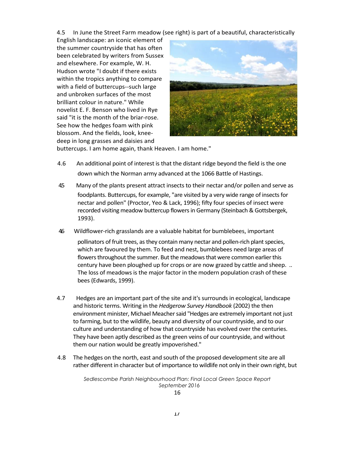4.5 In June the Street Farm meadow (see right) is part of a beautiful, characteristically

English landscape: an iconic element of the summer countryside that has often been celebrated by writers from Sussex and elsewhere. For example, W. H. Hudson wrote "I doubt if there exists within the tropics anything to compare with a field of buttercups--such large and unbroken surfaces of the most brilliant colour in nature." While novelist E. F. Benson who lived in Rye said "it is the month of the briar‐rose. See how the hedges foam with pink blossom. And the fields, look, knee‐ deep in long grasses and daisies and



buttercups. I am home again, thank Heaven. I am home."

- 4.6 An additional point of interest is that the distant ridge beyond the field is the one down which the Norman army advanced at the 1066 Battle of Hastings.
- 4.5 Many of the plants present attract insects to their nectar and/or pollen and serve as foodplants. Buttercups, for example, "are visited by a very wide range of insects for nectar and pollen" (Proctor, Yeo & Lack, 1996); fifty four species of insect were recorded visiting meadow buttercup flowers in Germany (Steinbach & Gottsbergek, 1993).
- 46 Wildflower-rich grasslands are a valuable habitat for bumblebees, important

pollinators of fruit trees, as they contain many nectar and pollen‐rich plant species, which are favoured by them. To feed and nest, bumblebees need large areas of flowers throughout the summer. But the meadows that were common earlier this century have been ploughed up for crops or are now grazed by cattle and sheep. .. The loss of meadows is the major factor in the modern population crash of these bees (Edwards, 1999).

- 4.7 Hedges are an important part of the site and it's surrounds in ecological, landscape and historic terms. Writing in the *Hedgerow Survey Handbook* (2002) the then environment minister, Michael Meacher said "Hedges are extremely important not just to farming, but to the wildlife, beauty and diversity of our countryside, and to our culture and understanding of how that countryside has evolved over the centuries. They have been aptly described as the green veins of our countryside, and without them our nation would be greatly impoverished."
- 4.8 The hedges on the north, east and south of the proposed development site are all rather different in character but of importance to wildlife not only in their own right, but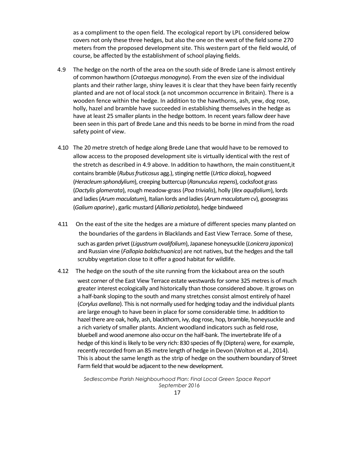as a compliment to the open field. The ecological report by LPL considered below covers not only these three hedges, but also the one on the west of the field some 270 meters from the proposed development site. This western part of the field would, of course, be affected by the establishment of school playing fields.

- 4.9 The hedge on the north of the area on the south side of Brede Lane is almost entirely of common hawthorn (*Crataegus monogyna*). From the even size of the individual plants and their rather large, shiny leaves it is clear that they have been fairly recently planted and are not of local stock (a not uncommon occurrence in Britain). There is a wooden fence within the hedge. In addition to the hawthorns, ash, yew, dog rose, holly, hazel and bramble have succeeded in establishing themselves in the hedge as have at least 25 smaller plants in the hedge bottom. In recent years fallow deer have been seen in this part of Brede Lane and this needs to be borne in mind from the road safety point of view.
- 4.10 The 20 metre stretch of hedge along Brede Lane that would have to be removed to allow access to the proposed development site is virtually identical with the rest of the stretch as described in 4.9 above. In addition to hawthorn, the main constituent,it contains bramble (*Rubus fruticosus* agg.), stinging nettle (*Urtica dioica*), hogweed (*Heracleum sphondylium*), creeping buttercup (*Ranunculus repens*), cocksfoot grass (*Dactylis glomerata*), rough meadow‐grass (*Poa trivialis*), holly (*Ilex aquifolium*), lords and ladies (*Arum maculatum*), Italian lords and ladies (*Arum maculatum* cv), goosegrass (*Galium aparine*) , garlic mustard (*Alliaria petiolata*), hedge bindweed
- 4.11 On the east of the site the hedges are a mixture of different species many planted on the boundaries of the gardens in Blacklands and East View Terrace. Some of these, such as garden privet (*Ligustrum ovalifolium*), Japanese honeysuckle (*Lonicera japonica*) and Russian vine (*Fallopia baldschuanica*) are not natives, but the hedges and the tall scrubby vegetation close to it offer a good habitat for wildlife.
- 4.12 The hedge on the south of the site running from the kickabout area on the south

west corner of the East View Terrace estate westwards for some 325 metres is of much greater interest ecologically and historically than those considered above. It grows on a half‐bank sloping to the south and many stretches consist almost entirely of hazel (*Corylus avellana*). This is not normally used for hedging today and the individual plants are large enough to have been in place for some considerable time. In addition to hazel there are oak, holly, ash, blackthorn, ivy, dog rose, hop, bramble, honeysuckle and a rich variety of smaller plants. Ancient woodland indicators such as field rose, bluebell and wood anemone also occur on the half‐bank. The invertebrate life of a hedge of this kind is likely to be very rich: 830 species of fly (Diptera) were, for example, recently recorded from an 85 metre length of hedge in Devon (Wolton et al., 2014). This is about the same length as the strip of hedge on the southern boundary of Street Farm field that would be adjacent to the new development.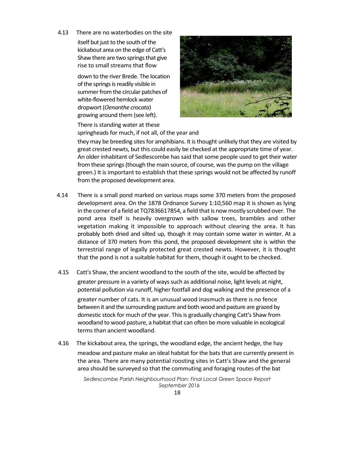4.13 There are no waterbodies on the site

itself but just to the south of the kickabout area on the edge of Catt's Shaw there are two springs that give rise to small streams that flow

down to the river Brede. The location of the springs is readily visible in summer from the circular patches of white‐flowered hemlock water dropwort (*Oenanthe crocata*) growing around them (see left).



There is standing water at these springheads for much, if not all, of the year and

they may be breeding sites for amphibians. It is thought unlikely that they are visited by great crested newts, but this could easily be checked at the appropriate time of year. An older inhabitant of Sedlescombe has said that some people used to get their water from these springs (though the main source, of course, was the pump on the village green.) It is important to establish that these springs would not be affected by runoff from the proposed development area.

- 4.14 There is a small pond marked on various maps some 370 meters from the proposed development area. On the 1878 Ordnance Survey 1:10,560 map it is shown as lying in the corner of a field at TQ7836617854, a field that is now mostly scrubbed over. The pond area itself is heavily overgrown with sallow trees, brambles and other vegetation making it impossible to approach without clearing the area. It has probably both dried and silted up, though it may contain some water in winter. At a distance of 370 meters from this pond, the proposed development site is within the terrestrial range of legally protected great crested newts. However, it is thought that the pond is not a suitable habitat for them, though it ought to be checked.
- 4.15 Catt's Shaw, the ancient woodland to the south of the site, would be affected by greater pressure in a variety of ways such as additional noise, light levels at night, potential pollution via runoff, higher footfall and dog walking and the presence of a

greater number of cats. It is an unusual wood inasmuch as there is no fence between it and the surrounding pasture and both wood and pasture are grazed by domestic stock for much of the year. This is gradually changing Catt's Shaw from woodland to wood pasture, a habitat that can often be more valuable in ecological terms than ancient woodland.

4.16 The kickabout area, the springs, the woodland edge, the ancient hedge, the hay meadow and pasture make an ideal habitat for the bats that are currently present in the area. There are many potential roosting sites in Catt's Shaw and the general area should be surveyed so that the commuting and foraging routes of the bat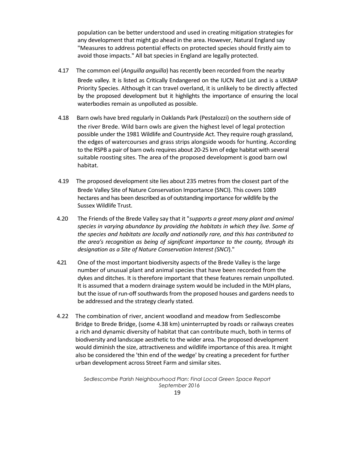population can be better understood and used in creating mitigation strategies for any development that might go ahead in the area. However, Natural England say "Measures to address potential effects on protected species should firstly aim to avoid those impacts." All bat species in England are legally protected.

- 4.17 The common eel (*Anguilla anguilla*) has recently been recorded from the nearby Brede valley. It is listed as Critically Endangered on the IUCN Red List and is a UKBAP Priority Species. Although it can travel overland, it is unlikely to be directly affected by the proposed development but it highlights the importance of ensuring the local waterbodies remain as unpolluted as possible.
- 4.18 Barn owls have bred regularly in Oaklands Park (Pestalozzi) on the southern side of the river Brede. Wild barn owls are given the highest level of legal protection possible under the 1981 Wildlife and Countryside Act. They require rough grassland, the edges of watercourses and grass strips alongside woods for hunting. According to the RSPB a pair of barn owls requires about 20‐25 km of edge habitat with several suitable roosting sites. The area of the proposed development is good barn owl habitat.
- 4.19 The proposed development site lies about 235 metres from the closest part of the Brede Valley Site of Nature Conservation Importance (SNCI). This covers 1089 hectares and has been described as of outstanding importance for wildlife by the Sussex Wildlife Trust.
- 4.20 The Friends of the Brede Valley say that it "*supports a great many plant and animal species in varying abundance by providing the habitats in which they live. Some of the species and habitats are locally and nationally rare, and this has contributed to the area's recognition as being of significant importance to the county, through its designation as a Site of Nature Conservation Interest (SNCI*)."
- 4.21 One of the most important biodiversity aspects of the Brede Valley is the large number of unusual plant and animal species that have been recorded from the dykes and ditches. It is therefore important that these features remain unpolluted. It is assumed that a modern drainage system would be included in the MJH plans, but the issue of run‐off southwards from the proposed houses and gardens needs to be addressed and the strategy clearly stated.
- 4.22 The combination of river, ancient woodland and meadow from Sedlescombe Bridge to Brede Bridge, (some 4.38 km) uninterrupted by roads or railways creates a rich and dynamic diversity of habitat that can contribute much, both in terms of biodiversity and landscape aesthetic to the wider area. The proposed development would diminish the size, attractiveness and wildlife importance of this area. It might also be considered the 'thin end of the wedge' by creating a precedent for further urban development across Street Farm and similar sites.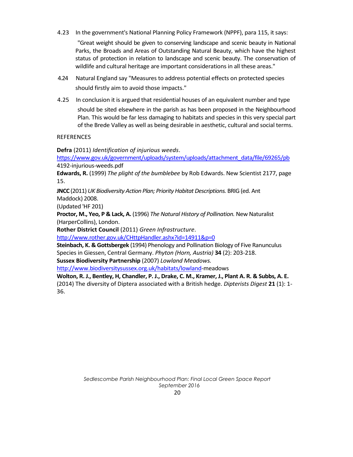4.23 In the government's National Planning Policy Framework (NPPF), para 115, it says:

"Great weight should be given to conserving landscape and scenic beauty in National Parks, the Broads and Areas of Outstanding Natural Beauty, which have the highest status of protection in relation to landscape and scenic beauty. The conservation of wildlife and cultural heritage are important considerations in all these areas."

- 4.24 Natural England say "Measures to address potential effects on protected species should firstly aim to avoid those impacts."
- 4.25 In conclusion it is argued that residential houses of an equivalent number and type should be sited elsewhere in the parish as has been proposed in the Neighbourhood Plan. This would be far less damaging to habitats and species in this very special part of the Brede Valley as well as being desirable in aesthetic, cultural and social terms.

# REFERENCES

**Defra** (2011) *Identification of injurious weeds*.

[https://www.gov.uk/government/uploads/system/uploads/attachment\\_data/file/69265/pb](https://www.gov.uk/government/uploads/system/uploads/attachment_data/file/69265/pb) 4192‐injurious‐weeds.pdf

**Edwards, R.** (1999) *The plight of the bumblebee* by Rob Edwards. New Scientist 2177, page 15.

**JNCC** (2011) *UK Biodiversity Action Plan; Priority Habitat Descriptions.* BRIG (ed. Ant Maddock) 2008.

(Updated 'HF 201)

**Proctor, M., Yeo, P & Lack, A.** (1996) *The Natural History of Pollination.* New Naturalist (HarperCollins), London.

**Rother District Council** (2011) *Green Infrastructure*.

<http://www.rother.gov.uk/CHttpHandler.ashx?id=14911&p=0>

**Steinbach, K. & Gottsbergek** (1994) Phenology and Pollination Biology of Five Ranunculus Species in Giessen, Central Germany. *Phyton (Horn, Austria)* **34** (2): 203‐218.

**Sussex Biodiversity Partnership** (2007) *Lowland Meadows.*

<http://www.biodiversitysussex.org.uk/habitats/lowland>-meadows

**Wolton, R. J., Bentley, H, Chandler, P. J., Drake, C. M., Kramer, J., Plant A. R. & Subbs, A. E.**  (2014) The diversity of Diptera associated with a British hedge. *Dipterists Digest* **21** (1): 1‐ 36.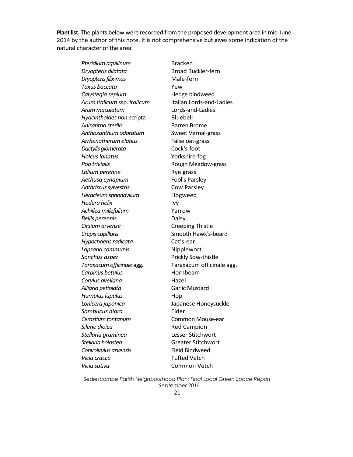**Plant list.** The plants below were recorded from the proposed development area in mid‐June 2014 by the author of this note. It is not comprehensive but gives some indication of the natural character of the area:

> Pteridium aquilinum **Bracken** *Dryopteris dilatata* Broad Buckler‐fern *Dryopteris filix‐mas* Male‐fern *Taxus baccata* Yew *Calystegia sepium* Hedge bindweed *Arum italicum* ssp. *italicum* Italian Lords‐and‐Ladies *Arum maculatum* Lords‐and‐Ladies *Hyacinthoides non‐s*cripta Bluebell Anisantha sterilis **Barren Brome** *Anthoxanthum odoratum* Sweet Vernal‐grass *Arrhenatherum elatius* False oat‐grass *Dactylis glomerata* Cock's‐foot *Holcus lanatus* Yorkshire‐fog **Poa trivialis** Rough Meadow-grass **Lolium perenne** Rye grass *Aethusa cynapium* Fool's Parsley *Anthriscus sylvestris* Cow Parsley *Heracleum sphondylium* Hogweed *Hedera helix* Ivy *Achillea millefolium* Yarrow *Bellis perennis* Daisy **Cirsium arvense** Creeping Thistle *Crepis capillaris* Smooth Hawk's‐beard *Hypochaeris radicata* Cat's‐ear *Lapsana communis* Nipplewort **Sonchus asper** Prickly Sow-thistle *Taraxacum officinale* agg. Taraxacum officinale agg. **Carpinus betulus Hornbeam** *Corylus avellana* Hazel *Alliaria petiolata* Garlic Mustard *Humulus lupulus* Hop *Lonicera japonica* Japanese Honeysuckle *Sambucus nigra* Elder *Cerastium fontanum* Common Mouse‐ear **Silene dioica** Red Campion *Stellaria graminea* Lesser Stitchwort *Stellaria holostea* Greater Stitchwort *Convolvulus arvensis* Field Bindweed *Vicia cracca* Tufted Vetch *Vicia sativa* Common Vetch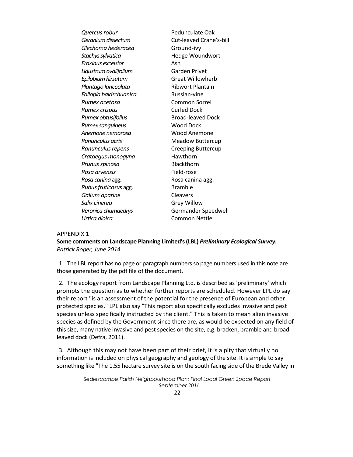**Quercus robur** Pedunculate Oak *Geranium dissectum* Cut‐leaved Crane's‐bill *Glechoma hederacea* Ground‐ivy **Stachys sylvatica Hedge Woundwort Fraxinus excelsior** Ash *Ligustrum ovalifolium* Garden Privet *Epilobium hirsutum* Great Willowherb *Plantago lanceolata* Ribwort Plantain *Fallopia baldschuanica* Russian‐vine *Rumex acetosa* Common Sorrel **Rumex crispus** Curled Dock *Rumex obtusifolius* Broad‐leaved Dock **Rumex sanguineus** Wood Dock *Anemone nemorosa* Wood Anemone **Ranunculus acris** Meadow Buttercup *Ranunculus repens* Creeping Buttercup *Crataegus monogyna* Hawthorn *Prunus spinosa* Blackthorn *Rosa arvensis* Field‐rose *Rosa canina* agg. Rosa canina agg. **Rubus fruticosus agg.** Bramble *Galium aparine* Cleavers **Salix cinerea** Grey Willow *Veronica chamaedrys* Germander Speedwell *Urtica dioica* Common Nettle

#### APPENDIX 1

**Some comments on Landscape Planning Limited's (LBL)** *Preliminary Ecological Survey***.**  *Patrick Roper, June 2014*

1. The LBL report has no page or paragraph numbers so page numbers used in this note are those generated by the pdf file of the document.

2. The ecology report from Landscape Planning Ltd. is described as 'preliminary' which prompts the question as to whether further reports are scheduled. However LPL do say their report "is an assessment of the potential for the presence of European and other protected species." LPL also say "This report also specifically excludes invasive and pest species unless specifically instructed by the client." This is taken to mean alien invasive species as defined by the Government since there are, as would be expected on any field of this size, many native invasive and pest species on the site, e.g. bracken, bramble and broadleaved dock (Defra, 2011).

3. Although this may not have been part of their brief, it is a pity that virtually no information is included on physical geography and geology of the site. It is simple to say something like "The 1.55 hectare survey site is on the south facing side of the Brede Valley in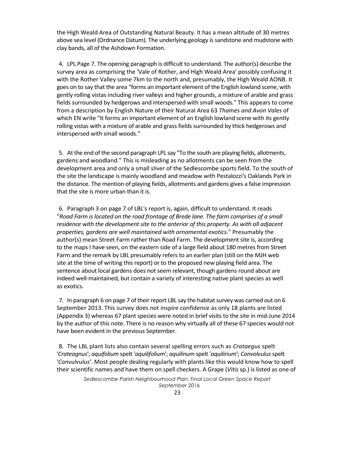the High Weald Area of Outstanding Natural Beauty. It has a mean altitude of 30 metres above sea level (Ordnance Datum). The underlying geology is sandstone and mudstone with clay bands, all of the Ashdown Formation.

4. LPL Page 7. The opening paragraph is difficult to understand. The author(s) describe the survey area as comprising the 'Vale of Rother, and High Weald Area' possibly confusing it with the Rother Valley some 7km to the north and, presumably, the High Weald AONB. It goes on to say that the area "forms an important element of the English lowland scene, with gently rolling vistas including river valleys and higher grounds, a mixture of arable and grass fields surrounded by hedgerows and interspersed with small woods." This appears to come from a description by English Nature of their Natural Area 63 *Thames and Avon Vales* of which EN write "It forms an important element of an English lowland scene with its gently rolling vistas with a mixture of arable and grass fields surrounded by thick hedgerows and interspersed with small woods."

5. At the end of the second paragraph LPL say "To the south are playing fields, allotments, gardens and woodland." This is misleading as no allotments can be seen from the development area and only a small sliver of the Sedlescombe sports field. To the south of the site the landscape is mainly woodland and meadow with Pestalozzi's Oaklands Park in the distance. The mention of playing fields, allotments and gardens gives a false impression that the site is more urban than it is.

6. Paragraph 3 on page 7 of LBL's report is, again, difficult to understand. It reads "*Road Farm is located on the road frontage of Brede lane. The farm comprises of a small residence with the development site to the anterior of this property. As with all adjacent properties, gardens are well maintained with ornamental exotics.*" Presumably the author(s) mean Street Farm rather than Road Farm. The development site is, according to the maps I have seen, on the eastern side of a large field about 180 metres from Street Farm and the remark by LBL presumably refers to an earlier plan (still on the MJH web site at the time of writing this report) or to the proposed new playing field area. The sentence about local gardens does not seem relevant, though gardens round about are indeed well-maintained, but contain a variety of interesting native plant species as well as exotics.

7. In paragraph 6 on page 7 of their report LBL say the habitat survey was carried out on 6 September 2013. This survey does not inspire confidence as only 18 plants are listed (Appendix 3) whereas 67 plant species were noted in brief visits to the site in mid‐June 2014 by the author of this note. There is no reason why virtually all of these 67 species would not have been evident in the previous September.

8. The LBL plant lists also contain several spelling errors such as *Crataegus* spelt '*Crateagnus*'; *aquifolium* spelt '*aquilifolium*'; *aquilinum* spelt '*aquilirium*'; *Convolvulus* spelt '*Convulvulus*'. Most people dealing regularly with plants like this would know how to spell their scientific names and have them on spell checkers. A Grape (*Vitis* sp.) is listed as one of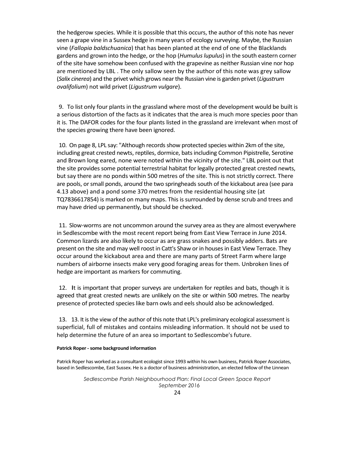the hedgerow species. While it is possible that this occurs, the author of this note has never seen a grape vine in a Sussex hedge in many years of ecology surveying. Maybe, the Russian vine (*Fallopia baldschuanica*) that has been planted at the end of one of the Blacklands gardens and grown into the hedge, or the hop (*Humulus lupulus*) in the south eastern corner of the site have somehow been confused with the grapevine as neither Russian vine nor hop are mentioned by LBL . The only sallow seen by the author of this note was grey sallow (*Salix cinerea*) and the privet which grows near the Russian vine is garden privet (*Ligustrum ovalifolium*) not wild privet (*Ligustrum vulgare*).

9. To list only four plants in the grassland where most of the development would be built is a serious distortion of the facts as it indicates that the area is much more species poor than it is. The DAFOR codes for the four plants listed in the grassland are irrelevant when most of the species growing there have been ignored.

10. On page 8, LPL say: "Although records show protected species within 2km of the site, including great crested newts, reptiles, dormice, bats including Common Pipistrelle, Serotine and Brown long eared, none were noted within the vicinity of the site." LBL point out that the site provides some potential terrestrial habitat for legally protected great crested newts, but say there are no ponds within 500 metres of the site. This is not strictly correct. There are pools, or small ponds, around the two springheads south of the kickabout area (see para 4.13 above) and a pond some 370 metres from the residential housing site (at TQ7836617854) is marked on many maps. This is surrounded by dense scrub and trees and may have dried up permanently, but should be checked.

11. Slow‐worms are not uncommon around the survey area as they are almost everywhere in Sedlescombe with the most recent report being from East View Terrace in June 2014. Common lizards are also likely to occur as are grass snakes and possibly adders. Bats are present on the site and may well roost in Catt's Shaw or in houses in East View Terrace. They occur around the kickabout area and there are many parts of Street Farm where large numbers of airborne insects make very good foraging areas for them. Unbroken lines of hedge are important as markers for commuting.

12. It is important that proper surveys are undertaken for reptiles and bats, though it is agreed that great crested newts are unlikely on the site or within 500 metres. The nearby presence of protected species like barn owls and eels should also be acknowledged.

13. 13. It is the view of the author of this note that LPL's preliminary ecological assessment is superficial, full of mistakes and contains misleading information. It should not be used to help determine the future of an area so important to Sedlescombe's future.

#### **Patrick Roper ‐ some background information**

Patrick Roper has worked as a consultant ecologist since 1993 within his own business, Patrick Roper Associates, based in Sedlescombe, East Sussex. He is a doctor of business administration, an elected fellow of the Linnean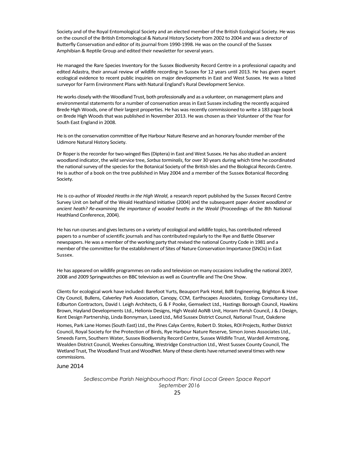Society and of the Royal Entomological Society and an elected member of the British Ecological Society. He was on the council of the British Entomological & Natural History Society from 2002 to 2004 and was a director of Butterfly Conservation and editor of its journal from 1990‐1998. He was on the council of the Sussex Amphibian & Reptile Group and edited their newsletter for several years.

He managed the Rare Species Inventory for the Sussex Biodiversity Record Centre in a professional capacity and edited Adastra, their annual review of wildlife recording in Sussex for 12 years until 2013. He has given expert ecological evidence to recent public inquiries on major developments in East and West Sussex. He was a listed surveyor for Farm Environment Plans with Natural England's Rural Development Service.

He works closely with the Woodland Trust, both professionally and as a volunteer, on management plans and environmental statements for a number of conservation areas in East Sussex including the recently acquired Brede High Woods, one of their largest properties. He has was recently commissioned to write a 183 page book on Brede High Woods that was published in November 2013. He was chosen as their Volunteer of the Year for South East England in 2008.

He is on the conservation committee of Rye Harbour Nature Reserve and an honorary founder member of the Udimore Natural History Society.

Dr Roper is the recorder for two-winged flies (Diptera) in East and West Sussex. He has also studied an ancient woodland indicator, the wild service tree, *Sorbus torminalis*, for over 30 years during which time he coordinated the national survey of the species for the Botanical Society of the British Isles and the Biological Records Centre. He is author of a book on the tree published in May 2004 and a member of the Sussex Botanical Recording Society.

He is co‐author of *Wooded Heaths in the High Weald*, a research report published by the Sussex Record Centre Survey Unit on behalf of the Weald Heathland Initiative (2004) and the subsequent paper *Ancient woodland or ancient heath? Re‐examining the importance of wooded heaths in the Weald* (Proceedings of the 8th National Heathland Conference, 2004).

He has run courses and gives lectures on a variety of ecological and wildlife topics, has contributed refereed papers to a number of scientific journals and has contributed regularly to the Rye and Battle Observer newspapers. He was a member of the working party that revised the national Country Code in 1981 and a member of the committee for the establishment of Sites of Nature Conservation Importance (SNCIs) in East Sussex.

He has appeared on wildlife programmes on radio and television on many occasions including the national 2007, 2008 and 2009 Springwatches on BBC television as well as Countryfile and The One Show.

Clients for ecological work have included: Barefoot Yurts, Beauport Park Hotel, BdR Engineering, Brighton & Hove City Council, Bullens, Calverley Park Association, Canopy, CCM, Earthscapes Associates, Ecology Consultancy Ltd., Edburton Contractors, David I. Leigh Architects, G & F Pooke, Gemselect Ltd., Hastings Borough Council, Hawkins Brown, Hayland Developments Ltd., Helionix Designs, High Weald AoNB Unit, Horam Parish Council, J & J Design, Kent Design Partnership, Linda Bonnyman, Lseed Ltd., Mid Sussex District Council, National Trust, Oakdene

Homes, Park Lane Homes (South East) Ltd., the Pines Calyx Centre, Robert D. Stokes, ROI Projects, Rother District Council, Royal Society for the Protection of Birds, Rye Harbour Nature Reserve, Simon Jones Associates Ltd., Smeeds Farm, Southern Water, Sussex Biodiversity Record Centre, Sussex Wildlife Trust, Wardell Armstrong, Wealden District Council, Weekes Consulting, Westridge Construction Ltd., West Sussex County Council, The Wetland Trust, The Woodland Trust and WoodNet. Many of these clients have returned several times with new commissions.

#### June 2014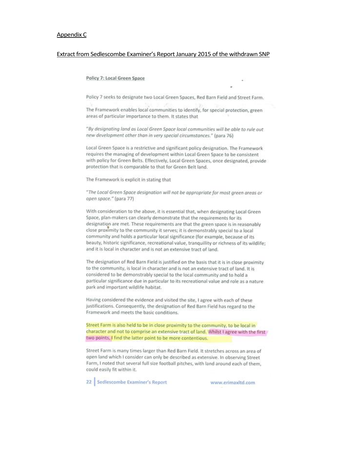#### Appendix C

#### Extract from Sedlescombe Examiner's Report January 2015 of the withdrawn SNP

#### Policy 7: Local Green Space

Policy 7 seeks to designate two Local Green Spaces, Red Barn Field and Street Farm.

The Framework enables local communities to identify, for special protection, green areas of particular importance to them. It states that

"By designating land as Local Green Space local communities will be able to rule out new development other than in very special circumstances." (para 76)

Local Green Space is a restrictive and significant policy designation. The Framework requires the managing of development within Local Green Space to be consistent with policy for Green Belts. Effectively, Local Green Spaces, once designated, provide protection that is comparable to that for Green Belt land.

The Framework is explicit in stating that

"The Local Green Space designation will not be appropriate for most green areas or open space." (para 77)

With consideration to the above, it is essential that, when designating Local Green Space, plan-makers can clearly demonstrate that the requirements for its designation are met. These requirements are that the green space is in reasonably close proximity to the community it serves; it is demonstrably special to a local community and holds a particular local significance (for example, because of its beauty, historic significance, recreational value, tranquillity or richness of its wildlife; and it is local in character and is not an extensive tract of land.

The designation of Red Barn Field is justified on the basis that it is in close proximity to the community, is local in character and is not an extensive tract of land. It is considered to be demonstrably special to the local community and to hold a particular significance due in particular to its recreational value and role as a nature park and important wildlife habitat.

Having considered the evidence and visited the site, I agree with each of these justifications. Consequently, the designation of Red Barn Field has regard to the Framework and meets the basic conditions.

Street Farm is also held to be in close proximity to the community, to be local in character and not to comprise an extensive tract of land. Whilst I agree with the first two points, I find the latter point to be more contentious.

Street Farm is many times larger than Red Barn Field. It stretches across an area of open land which I consider can only be described as extensive. In observing Street Farm, I noted that several full size football pitches, with land around each of them, could easily fit within it.

22 Sedlescombe Examiner's Report

www.erimaxitd.com